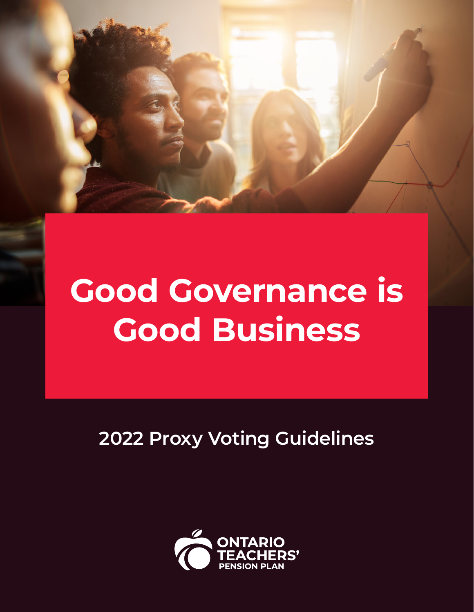

**2022 Proxy Voting Guidelines**

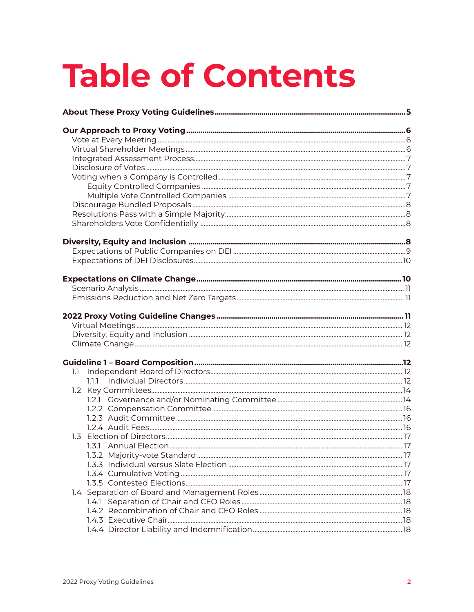# **Table of Contents**

| 1.1     |  |
|---------|--|
| 1.1.1 - |  |
|         |  |
|         |  |
|         |  |
|         |  |
|         |  |
|         |  |
|         |  |
|         |  |
|         |  |
|         |  |
|         |  |
|         |  |
|         |  |
|         |  |
|         |  |
|         |  |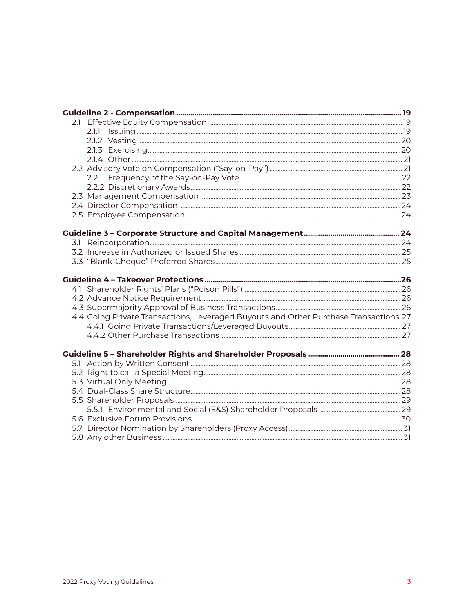| 2.1.1                                                                                |  |
|--------------------------------------------------------------------------------------|--|
|                                                                                      |  |
|                                                                                      |  |
|                                                                                      |  |
|                                                                                      |  |
|                                                                                      |  |
|                                                                                      |  |
|                                                                                      |  |
|                                                                                      |  |
|                                                                                      |  |
|                                                                                      |  |
|                                                                                      |  |
|                                                                                      |  |
|                                                                                      |  |
|                                                                                      |  |
|                                                                                      |  |
|                                                                                      |  |
|                                                                                      |  |
| 4.4 Going Private Transactions, Leveraged Buyouts and Other Purchase Transactions 27 |  |
|                                                                                      |  |
|                                                                                      |  |
|                                                                                      |  |
|                                                                                      |  |
|                                                                                      |  |
|                                                                                      |  |
|                                                                                      |  |
|                                                                                      |  |
|                                                                                      |  |
|                                                                                      |  |
|                                                                                      |  |
|                                                                                      |  |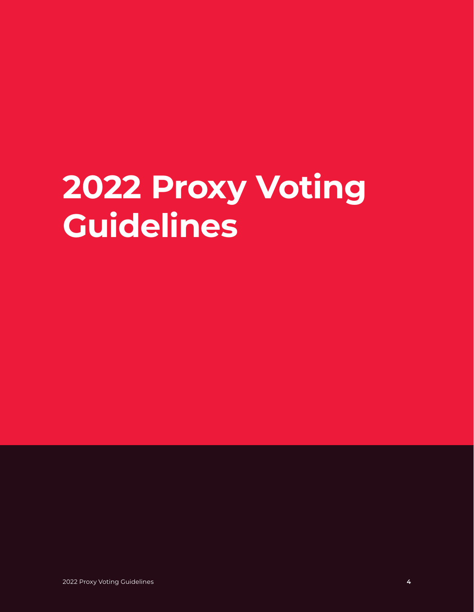# **2022 Proxy Voting Guidelines**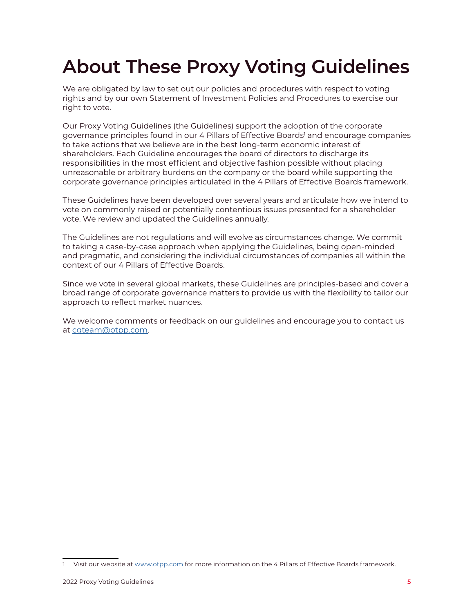## <span id="page-4-0"></span>**About These Proxy Voting Guidelines**

We are obligated by law to set out our policies and procedures with respect to voting rights and by our own Statement of Investment Policies and Procedures to exercise our right to vote.

Our Proxy Voting Guidelines (the Guidelines) support the adoption of the corporate governance principles found in our 4 Pillars of Effective Boards' and encourage companies to take actions that we believe are in the best long-term economic interest of shareholders. Each Guideline encourages the board of directors to discharge its responsibilities in the most efficient and objective fashion possible without placing unreasonable or arbitrary burdens on the company or the board while supporting the corporate governance principles articulated in the 4 Pillars of Effective Boards framework.

These Guidelines have been developed over several years and articulate how we intend to vote on commonly raised or potentially contentious issues presented for a shareholder vote. We review and updated the Guidelines annually.

The Guidelines are not regulations and will evolve as circumstances change. We commit to taking a case-by-case approach when applying the Guidelines, being open-minded and pragmatic, and considering the individual circumstances of companies all within the context of our 4 Pillars of Effective Boards.

Since we vote in several global markets, these Guidelines are principles-based and cover a broad range of corporate governance matters to provide us with the flexibility to tailor our approach to reflect market nuances.

We welcome comments or feedback on our guidelines and encourage you to contact us at [cgteam@otpp.com.](mailto:cgteam%40otpp.com?subject=)

Visit our website at [www.otpp.com](http://www.otpp.com/) for more information on the 4 Pillars of Effective Boards framework.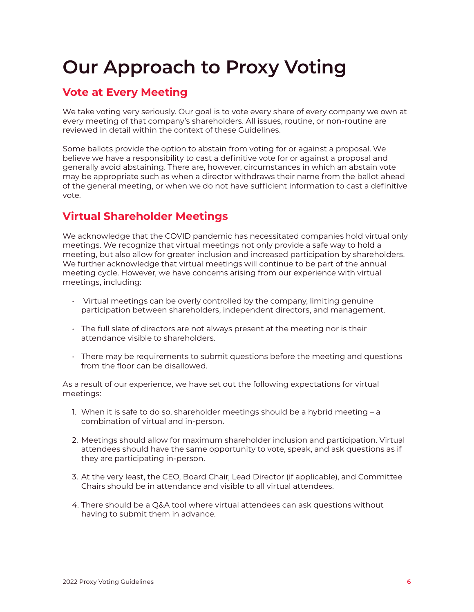## <span id="page-5-0"></span>**Our Approach to Proxy Voting**

### **Vote at Every Meeting**

We take voting very seriously. Our goal is to vote every share of every company we own at every meeting of that company's shareholders. All issues, routine, or non-routine are reviewed in detail within the context of these Guidelines.

Some ballots provide the option to abstain from voting for or against a proposal. We believe we have a responsibility to cast a definitive vote for or against a proposal and generally avoid abstaining. There are, however, circumstances in which an abstain vote may be appropriate such as when a director withdraws their name from the ballot ahead of the general meeting, or when we do not have sufficient information to cast a definitive vote.

## **Virtual Shareholder Meetings**

We acknowledge that the COVID pandemic has necessitated companies hold virtual only meetings. We recognize that virtual meetings not only provide a safe way to hold a meeting, but also allow for greater inclusion and increased participation by shareholders. We further acknowledge that virtual meetings will continue to be part of the annual meeting cycle. However, we have concerns arising from our experience with virtual meetings, including:

- Virtual meetings can be overly controlled by the company, limiting genuine participation between shareholders, independent directors, and management.
- The full slate of directors are not always present at the meeting nor is their attendance visible to shareholders.
- There may be requirements to submit questions before the meeting and questions from the floor can be disallowed.

As a result of our experience, we have set out the following expectations for virtual meetings:

- 1. When it is safe to do so, shareholder meetings should be a hybrid meeting a combination of virtual and in-person.
- 2. Meetings should allow for maximum shareholder inclusion and participation. Virtual attendees should have the same opportunity to vote, speak, and ask questions as if they are participating in-person.
- 3. At the very least, the CEO, Board Chair, Lead Director (if applicable), and Committee Chairs should be in attendance and visible to all virtual attendees.
- 4. There should be a Q&A tool where virtual attendees can ask questions without having to submit them in advance.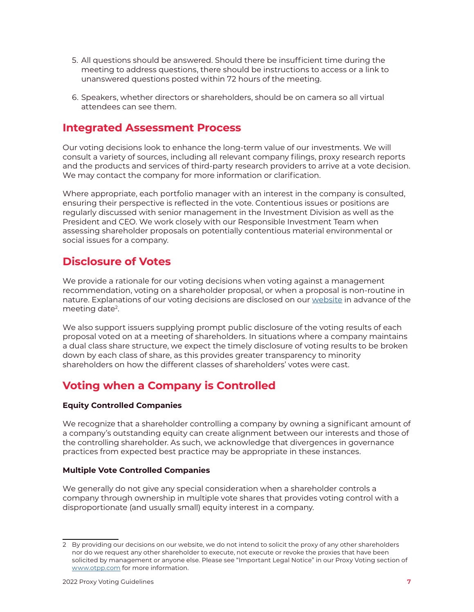- <span id="page-6-0"></span>5. All questions should be answered. Should there be insufficient time during the meeting to address questions, there should be instructions to access or a link to unanswered questions posted within 72 hours of the meeting.
- 6. Speakers, whether directors or shareholders, should be on camera so all virtual attendees can see them.

### **Integrated Assessment Process**

Our voting decisions look to enhance the long-term value of our investments. We will consult a variety of sources, including all relevant company filings, proxy research reports and the products and services of third-party research providers to arrive at a vote decision. We may contact the company for more information or clarification.

Where appropriate, each portfolio manager with an interest in the company is consulted, ensuring their perspective is reflected in the vote. Contentious issues or positions are regularly discussed with senior management in the Investment Division as well as the President and CEO. We work closely with our Responsible Investment Team when assessing shareholder proposals on potentially contentious material environmental or social issues for a company.

### **Disclosure of Votes**

We provide a rationale for our voting decisions when voting against a management recommendation, voting on a shareholder proposal, or when a proposal is non-routine in nature. Explanations of our voting decisions are disclosed on our [website](http://www.otpp.com/investments/responsible-investing/governance-and-voting/proxy-votes) in advance of the meeting date2 .

We also support issuers supplying prompt public disclosure of the voting results of each proposal voted on at a meeting of shareholders. In situations where a company maintains a dual class share structure, we expect the timely disclosure of voting results to be broken down by each class of share, as this provides greater transparency to minority shareholders on how the different classes of shareholders' votes were cast.

## **Voting when a Company is Controlled**

#### **Equity Controlled Companies**

We recognize that a shareholder controlling a company by owning a significant amount of a company's outstanding equity can create alignment between our interests and those of the controlling shareholder. As such, we acknowledge that divergences in governance practices from expected best practice may be appropriate in these instances.

#### **Multiple Vote Controlled Companies**

We generally do not give any special consideration when a shareholder controls a company through ownership in multiple vote shares that provides voting control with a disproportionate (and usually small) equity interest in a company.

<sup>2</sup> By providing our decisions on our website, we do not intend to solicit the proxy of any other shareholders nor do we request any other shareholder to execute, not execute or revoke the proxies that have been solicited by management or anyone else. Please see "Important Legal Notice" in our Proxy Voting section of [www.otpp.com](http://www.otpp.com/) for more information.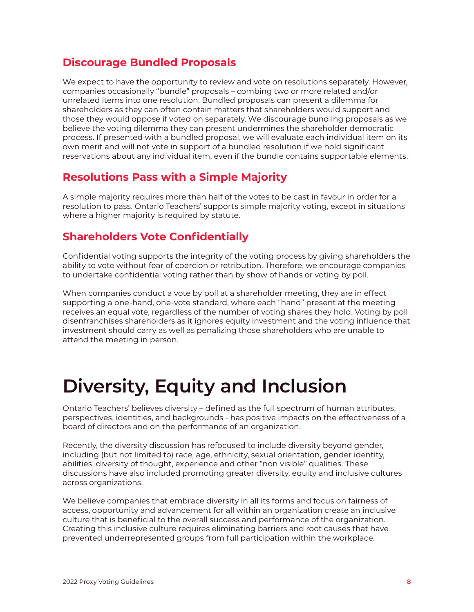### <span id="page-7-0"></span>**Discourage Bundled Proposals**

We expect to have the opportunity to review and vote on resolutions separately. However, companies occasionally "bundle" proposals – combing two or more related and/or unrelated items into one resolution. Bundled proposals can present a dilemma for shareholders as they can often contain matters that shareholders would support and those they would oppose if voted on separately. We discourage bundling proposals as we believe the voting dilemma they can present undermines the shareholder democratic process. If presented with a bundled proposal, we will evaluate each individual item on its own merit and will not vote in support of a bundled resolution if we hold significant reservations about any individual item, even if the bundle contains supportable elements.

### **Resolutions Pass with a Simple Majority**

A simple majority requires more than half of the votes to be cast in favour in order for a resolution to pass. Ontario Teachers' supports simple majority voting, except in situations where a higher majority is required by statute.

## **Shareholders Vote Confidentially**

Confidential voting supports the integrity of the voting process by giving shareholders the ability to vote without fear of coercion or retribution. Therefore, we encourage companies to undertake confidential voting rather than by show of hands or voting by poll.

When companies conduct a vote by poll at a shareholder meeting, they are in effect supporting a one-hand, one-vote standard, where each "hand" present at the meeting receives an equal vote, regardless of the number of voting shares they hold. Voting by poll disenfranchises shareholders as it ignores equity investment and the voting influence that investment should carry as well as penalizing those shareholders who are unable to attend the meeting in person.

## **Diversity, Equity and Inclusion**

Ontario Teachers' believes diversity – defined as the full spectrum of human attributes, perspectives, identities, and backgrounds - has positive impacts on the effectiveness of a board of directors and on the performance of an organization.

Recently, the diversity discussion has refocused to include diversity beyond gender, including (but not limited to) race, age, ethnicity, sexual orientation, gender identity, abilities, diversity of thought, experience and other "non visible" qualities. These discussions have also included promoting greater diversity, equity and inclusive cultures across organizations.

We believe companies that embrace diversity in all its forms and focus on fairness of access, opportunity and advancement for all within an organization create an inclusive culture that is beneficial to the overall success and performance of the organization. Creating this inclusive culture requires eliminating barriers and root causes that have prevented underrepresented groups from full participation within the workplace.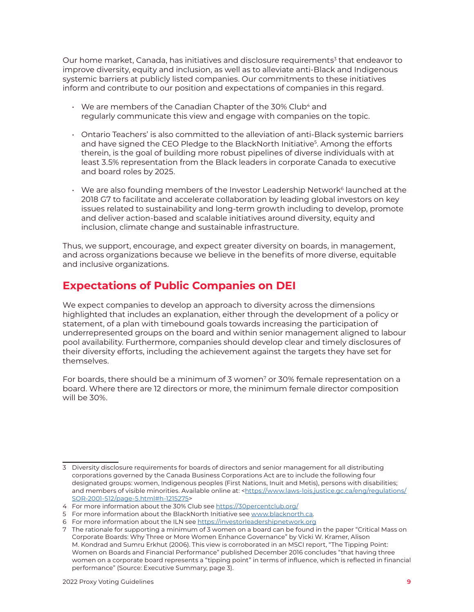<span id="page-8-0"></span>Our home market, Canada, has initiatives and disclosure requirements<sup>3</sup> that endeavor to improve diversity, equity and inclusion, as well as to alleviate anti-Black and Indigenous systemic barriers at publicly listed companies. Our commitments to these initiatives inform and contribute to our position and expectations of companies in this regard.

- $\cdot$  We are members of the Canadian Chapter of the 30% Club<sup>4</sup> and regularly communicate this view and engage with companies on the topic.
- Ontario Teachers' is also committed to the alleviation of anti-Black systemic barriers and have signed the CEO Pledge to the BlackNorth Initiative<sup>5</sup>. Among the efforts therein, is the goal of building more robust pipelines of diverse individuals with at least 3.5% representation from the Black leaders in corporate Canada to executive and board roles by 2025.
- $\cdot$  We are also founding members of the Investor Leadership Network $^6$  launched at the 2018 G7 to facilitate and accelerate collaboration by leading global investors on key issues related to sustainability and long-term growth including to develop, promote and deliver action-based and scalable initiatives around diversity, equity and inclusion, climate change and sustainable infrastructure.

Thus, we support, encourage, and expect greater diversity on boards, in management, and across organizations because we believe in the benefits of more diverse, equitable and inclusive organizations.

## **Expectations of Public Companies on DEI**

We expect companies to develop an approach to diversity across the dimensions highlighted that includes an explanation, either through the development of a policy or statement, of a plan with timebound goals towards increasing the participation of underrepresented groups on the board and within senior management aligned to labour pool availability. Furthermore, companies should develop clear and timely disclosures of their diversity efforts, including the achievement against the targets they have set for themselves.

For boards, there should be a minimum of 3 women<sup>7</sup> or 30% female representation on a board. Where there are 12 directors or more, the minimum female director composition will be 30%.

<sup>3</sup> Diversity disclosure requirements for boards of directors and senior management for all distributing corporations governed by the Canada Business Corporations Act are to include the following four designated groups: women, Indigenous peoples (First Nations, Inuit and Metis), persons with disabilities; and members of visible minorities. Available online at: <[https://www.laws-lois.justice.gc.ca/eng/regulations/](https://www.laws-lois.justice.gc.ca/eng/regulations/SOR-2001-512/page-5.html#h-1215275) [SOR-2001-512/page-5.html#h-1215275>](https://www.laws-lois.justice.gc.ca/eng/regulations/SOR-2001-512/page-5.html#h-1215275)

<sup>4</sup> For more information about the 30% Club see<https://30percentclub.org/>

<sup>5</sup> For more information about the BlackNorth Initiative see [www.blacknorth.ca](http://www.blacknorth.ca).

<sup>6</sup> For more information about the ILN see<https://investorleadershipnetwork.org>

<sup>7</sup> The rationale for supporting a minimum of 3 women on a board can be found in the paper "Critical Mass on Corporate Boards: Why Three or More Women Enhance Governance" by Vicki W. Kramer, Alison M. Kondrad and Sumru Erkhut (2006). This view is corroborated in an MSCI report, "The Tipping Point: Women on Boards and Financial Performance" published December 2016 concludes "that having three women on a corporate board represents a "tipping point" in terms of influence, which is reflected in financial performance" (Source: Executive Summary, page 3).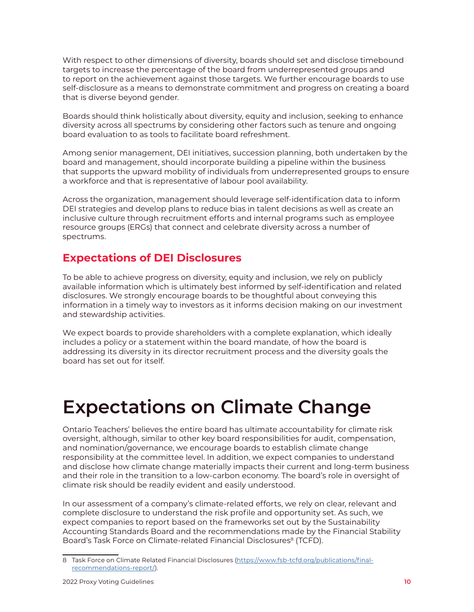<span id="page-9-0"></span>With respect to other dimensions of diversity, boards should set and disclose timebound targets to increase the percentage of the board from underrepresented groups and to report on the achievement against those targets. We further encourage boards to use self-disclosure as a means to demonstrate commitment and progress on creating a board that is diverse beyond gender.

Boards should think holistically about diversity, equity and inclusion, seeking to enhance diversity across all spectrums by considering other factors such as tenure and ongoing board evaluation to as tools to facilitate board refreshment.

Among senior management, DEI initiatives, succession planning, both undertaken by the board and management, should incorporate building a pipeline within the business that supports the upward mobility of individuals from underrepresented groups to ensure a workforce and that is representative of labour pool availability.

Across the organization, management should leverage self-identification data to inform DEI strategies and develop plans to reduce bias in talent decisions as well as create an inclusive culture through recruitment efforts and internal programs such as employee resource groups (ERGs) that connect and celebrate diversity across a number of spectrums.

## **Expectations of DEI Disclosures**

To be able to achieve progress on diversity, equity and inclusion, we rely on publicly available information which is ultimately best informed by self-identification and related disclosures. We strongly encourage boards to be thoughtful about conveying this information in a timely way to investors as it informs decision making on our investment and stewardship activities.

We expect boards to provide shareholders with a complete explanation, which ideally includes a policy or a statement within the board mandate, of how the board is addressing its diversity in its director recruitment process and the diversity goals the board has set out for itself.

## **Expectations on Climate Change**

Ontario Teachers' believes the entire board has ultimate accountability for climate risk oversight, although, similar to other key board responsibilities for audit, compensation, and nomination/governance, we encourage boards to establish climate change responsibility at the committee level. In addition, we expect companies to understand and disclose how climate change materially impacts their current and long-term business and their role in the transition to a low-carbon economy. The board's role in oversight of climate risk should be readily evident and easily understood.

In our assessment of a company's climate-related efforts, we rely on clear, relevant and complete disclosure to understand the risk profile and opportunity set. As such, we expect companies to report based on the frameworks set out by the Sustainability Accounting Standards Board and the recommendations made by the Financial Stability Board's Task Force on Climate-related Financial Disclosures<sup>8</sup> (TCFD).

<sup>8</sup> Task Force on Climate Related Financial Disclosures ([https://www.fsb-tcfd.org/publications/final](https://www.fsb-tcfd.org/publications/final-recommendations-report/)[recommendations-report/](https://www.fsb-tcfd.org/publications/final-recommendations-report/)).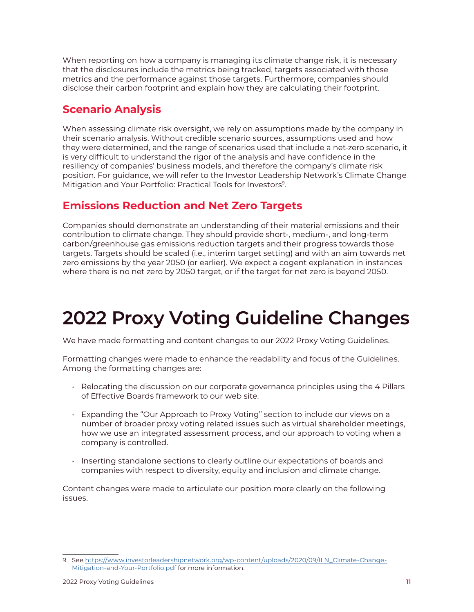<span id="page-10-0"></span>When reporting on how a company is managing its climate change risk, it is necessary that the disclosures include the metrics being tracked, targets associated with those metrics and the performance against those targets. Furthermore, companies should disclose their carbon footprint and explain how they are calculating their footprint.

## **Scenario Analysis**

When assessing climate risk oversight, we rely on assumptions made by the company in their scenario analysis. Without credible scenario sources, assumptions used and how they were determined, and the range of scenarios used that include a net-zero scenario, it is very difficult to understand the rigor of the analysis and have confidence in the resiliency of companies' business models, and therefore the company's climate risk position. For guidance, we will refer to the Investor Leadership Network's Climate Change Mitigation and Your Portfolio: Practical Tools for Investors<sup>9</sup>.

## **Emissions Reduction and Net Zero Targets**

Companies should demonstrate an understanding of their material emissions and their contribution to climate change. They should provide short-, medium-, and long-term carbon/greenhouse gas emissions reduction targets and their progress towards those targets. Targets should be scaled (i.e., interim target setting) and with an aim towards net zero emissions by the year 2050 (or earlier). We expect a cogent explanation in instances where there is no net zero by 2050 target, or if the target for net zero is beyond 2050.

## **2022 Proxy Voting Guideline Changes**

We have made formatting and content changes to our 2022 Proxy Voting Guidelines.

Formatting changes were made to enhance the readability and focus of the Guidelines. Among the formatting changes are:

- Relocating the discussion on our corporate governance principles using the 4 Pillars of Effective Boards framework to our web site.
- Expanding the "Our Approach to Proxy Voting" section to include our views on a number of broader proxy voting related issues such as virtual shareholder meetings, how we use an integrated assessment process, and our approach to voting when a company is controlled.
- Inserting standalone sections to clearly outline our expectations of boards and companies with respect to diversity, equity and inclusion and climate change.

Content changes were made to articulate our position more clearly on the following issues.

<sup>9</sup> See [https://www.investorleadershipnetwork.org/wp-content/uploads/2020/09/ILN\\_Climate-Change-](https://www.investorleadershipnetwork.org/wp-content/uploads/2020/09/ILN_Climate-Change-Mitigation-and-Your-Portfolio.pdf)[Mitigation-and-Your-Portfolio.pdf](https://www.investorleadershipnetwork.org/wp-content/uploads/2020/09/ILN_Climate-Change-Mitigation-and-Your-Portfolio.pdf) for more information.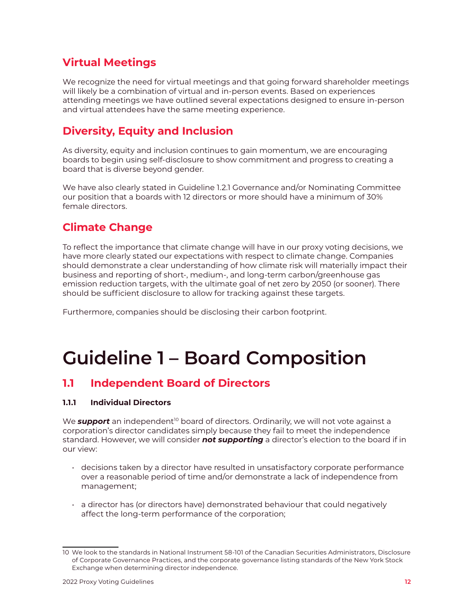## <span id="page-11-0"></span>**Virtual Meetings**

We recognize the need for virtual meetings and that going forward shareholder meetings will likely be a combination of virtual and in-person events. Based on experiences attending meetings we have outlined several expectations designed to ensure in-person and virtual attendees have the same meeting experience.

## **Diversity, Equity and Inclusion**

As diversity, equity and inclusion continues to gain momentum, we are encouraging boards to begin using self-disclosure to show commitment and progress to creating a board that is diverse beyond gender.

We have also clearly stated in Guideline 1.2.1 Governance and/or Nominating Committee our position that a boards with 12 directors or more should have a minimum of 30% female directors.

## **Climate Change**

To reflect the importance that climate change will have in our proxy voting decisions, we have more clearly stated our expectations with respect to climate change. Companies should demonstrate a clear understanding of how climate risk will materially impact their business and reporting of short-, medium-, and long-term carbon/greenhouse gas emission reduction targets, with the ultimate goal of net zero by 2050 (or sooner). There should be sufficient disclosure to allow for tracking against these targets.

Furthermore, companies should be disclosing their carbon footprint.

## **Guideline 1 – Board Composition**

### **1.1 Independent Board of Directors**

#### **1.1.1 Individual Directors**

We **support** an independent<sup>10</sup> board of directors. Ordinarily, we will not vote against a corporation's director candidates simply because they fail to meet the independence standard. However, we will consider *not supporting* a director's election to the board if in our view:

- decisions taken by a director have resulted in unsatisfactory corporate performance over a reasonable period of time and/or demonstrate a lack of independence from management;
- a director has (or directors have) demonstrated behaviour that could negatively affect the long-term performance of the corporation;

<sup>10</sup> We look to the standards in National Instrument 58-101 of the Canadian Securities Administrators, Disclosure of Corporate Governance Practices, and the corporate governance listing standards of the New York Stock Exchange when determining director independence.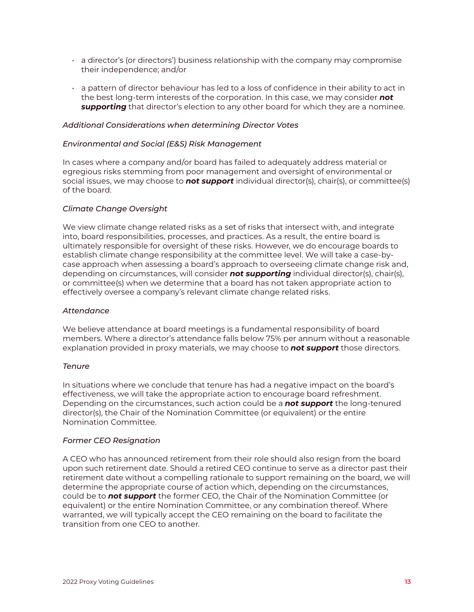- $\cdot$  a director's (or directors') business relationship with the company may compromise their independence; and/or
- a pattern of director behaviour has led to a loss of confidence in their ability to act in the best long-term interests of the corporation. In this case, we may consider *not supporting* that director's election to any other board for which they are a nominee.

#### *Additional Considerations when determining Director Votes*

#### *Environmental and Social (E&S) Risk Management*

In cases where a company and/or board has failed to adequately address material or egregious risks stemming from poor management and oversight of environmental or social issues, we may choose to *not support* individual director(s), chair(s), or committee(s) of the board.

#### *Climate Change Oversight*

We view climate change related risks as a set of risks that intersect with, and integrate into, board responsibilities, processes, and practices. As a result, the entire board is ultimately responsible for oversight of these risks. However, we do encourage boards to establish climate change responsibility at the committee level. We will take a case-bycase approach when assessing a board's approach to overseeing climate change risk and, depending on circumstances, will consider *not supporting* individual director(s), chair(s), or committee(s) when we determine that a board has not taken appropriate action to effectively oversee a company's relevant climate change related risks.

#### *Attendance*

We believe attendance at board meetings is a fundamental responsibility of board members. Where a director's attendance falls below 75% per annum without a reasonable explanation provided in proxy materials, we may choose to *not support* those directors.

#### *Tenure*

In situations where we conclude that tenure has had a negative impact on the board's effectiveness, we will take the appropriate action to encourage board refreshment. Depending on the circumstances, such action could be a *not support* the long-tenured director(s), the Chair of the Nomination Committee (or equivalent) or the entire Nomination Committee.

#### *Former CEO Resignation*

A CEO who has announced retirement from their role should also resign from the board upon such retirement date. Should a retired CEO continue to serve as a director past their retirement date without a compelling rationale to support remaining on the board, we will determine the appropriate course of action which, depending on the circumstances, could be to *not support* the former CEO, the Chair of the Nomination Committee (or equivalent) or the entire Nomination Committee, or any combination thereof. Where warranted, we will typically accept the CEO remaining on the board to facilitate the transition from one CEO to another.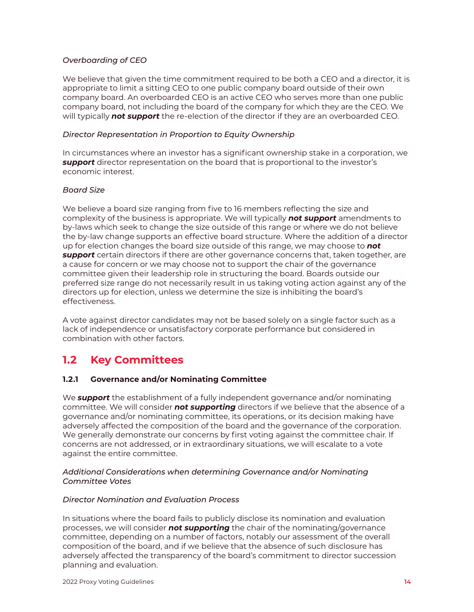#### <span id="page-13-0"></span>*Overboarding of CEO*

We believe that given the time commitment required to be both a CEO and a director, it is appropriate to limit a sitting CEO to one public company board outside of their own company board. An overboarded CEO is an active CEO who serves more than one public company board, not including the board of the company for which they are the CEO. We will typically *not support* the re-election of the director if they are an overboarded CEO.

#### *Director Representation in Proportion to Equity Ownership*

In circumstances where an investor has a significant ownership stake in a corporation, we *support* director representation on the board that is proportional to the investor's economic interest.

#### *Board Size*

We believe a board size ranging from five to 16 members reflecting the size and complexity of the business is appropriate. We will typically *not support* amendments to by-laws which seek to change the size outside of this range or where we do not believe the by-law change supports an effective board structure. Where the addition of a director up for election changes the board size outside of this range, we may choose to *not support* certain directors if there are other governance concerns that, taken together, are a cause for concern or we may choose not to support the chair of the governance committee given their leadership role in structuring the board. Boards outside our preferred size range do not necessarily result in us taking voting action against any of the directors up for election, unless we determine the size is inhibiting the board's effectiveness.

A vote against director candidates may not be based solely on a single factor such as a lack of independence or unsatisfactory corporate performance but considered in combination with other factors.

## **1.2 Key Committees**

#### **1.2.1 Governance and/or Nominating Committee**

We *support* the establishment of a fully independent governance and/or nominating committee. We will consider *not supporting* directors if we believe that the absence of a governance and/or nominating committee, its operations, or its decision making have adversely affected the composition of the board and the governance of the corporation. We generally demonstrate our concerns by first voting against the committee chair. If concerns are not addressed, or in extraordinary situations, we will escalate to a vote against the entire committee.

#### *Additional Considerations when determining Governance and/or Nominating Committee Votes*

#### *Director Nomination and Evaluation Process*

In situations where the board fails to publicly disclose its nomination and evaluation processes, we will consider *not supporting* the chair of the nominating/governance committee, depending on a number of factors, notably our assessment of the overall composition of the board, and if we believe that the absence of such disclosure has adversely affected the transparency of the board's commitment to director succession planning and evaluation.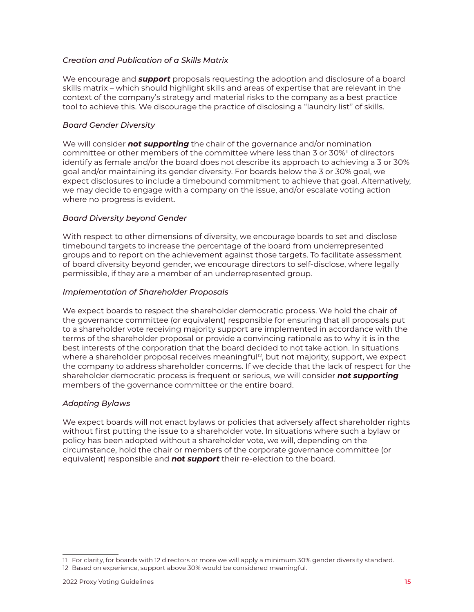#### *Creation and Publication of a Skills Matrix*

We encourage and *support* proposals requesting the adoption and disclosure of a board skills matrix – which should highlight skills and areas of expertise that are relevant in the context of the company's strategy and material risks to the company as a best practice tool to achieve this. We discourage the practice of disclosing a "laundry list" of skills.

#### *Board Gender Diversity*

We will consider *not supporting* the chair of the governance and/or nomination committee or other members of the committee where less than 3 or 30%<sup>11</sup> of directors identify as female and/or the board does not describe its approach to achieving a 3 or 30% goal and/or maintaining its gender diversity. For boards below the 3 or 30% goal, we expect disclosures to include a timebound commitment to achieve that goal. Alternatively, we may decide to engage with a company on the issue, and/or escalate voting action where no progress is evident.

#### *Board Diversity beyond Gender*

With respect to other dimensions of diversity, we encourage boards to set and disclose timebound targets to increase the percentage of the board from underrepresented groups and to report on the achievement against those targets. To facilitate assessment of board diversity beyond gender, we encourage directors to self-disclose, where legally permissible, if they are a member of an underrepresented group.

#### *Implementation of Shareholder Proposals*

We expect boards to respect the shareholder democratic process. We hold the chair of the governance committee (or equivalent) responsible for ensuring that all proposals put to a shareholder vote receiving majority support are implemented in accordance with the terms of the shareholder proposal or provide a convincing rationale as to why it is in the best interests of the corporation that the board decided to not take action. In situations where a shareholder proposal receives meaningful<sup>12</sup>, but not majority, support, we expect the company to address shareholder concerns. If we decide that the lack of respect for the shareholder democratic process is frequent or serious, we will consider *not supporting* members of the governance committee or the entire board.

#### *Adopting Bylaws*

We expect boards will not enact bylaws or policies that adversely affect shareholder rights without first putting the issue to a shareholder vote. In situations where such a bylaw or policy has been adopted without a shareholder vote, we will, depending on the circumstance, hold the chair or members of the corporate governance committee (or equivalent) responsible and *not support* their re-election to the board.

<sup>11</sup> For clarity, for boards with 12 directors or more we will apply a minimum 30% gender diversity standard.

<sup>12</sup> Based on experience, support above 30% would be considered meaningful.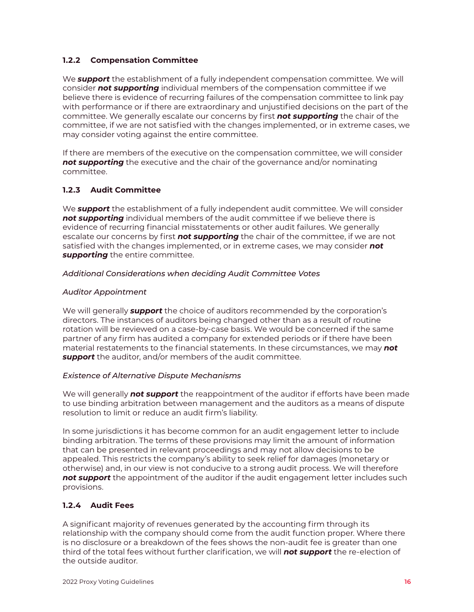#### <span id="page-15-0"></span>**1.2.2 Compensation Committee**

We *support* the establishment of a fully independent compensation committee. We will consider *not supporting* individual members of the compensation committee if we believe there is evidence of recurring failures of the compensation committee to link pay with performance or if there are extraordinary and unjustified decisions on the part of the committee. We generally escalate our concerns by first *not supporting* the chair of the committee, if we are not satisfied with the changes implemented, or in extreme cases, we may consider voting against the entire committee.

If there are members of the executive on the compensation committee, we will consider *not supporting* the executive and the chair of the governance and/or nominating committee.

#### **1.2.3 Audit Committee**

We *support* the establishment of a fully independent audit committee. We will consider *not supporting* individual members of the audit committee if we believe there is evidence of recurring financial misstatements or other audit failures. We generally escalate our concerns by first *not supporting* the chair of the committee, if we are not satisfied with the changes implemented, or in extreme cases, we may consider *not supporting* the entire committee.

#### *Additional Considerations when deciding Audit Committee Votes*

#### *Auditor Appointment*

We will generally *support* the choice of auditors recommended by the corporation's directors. The instances of auditors being changed other than as a result of routine rotation will be reviewed on a case-by-case basis. We would be concerned if the same partner of any firm has audited a company for extended periods or if there have been material restatements to the financial statements. In these circumstances, we may *not support* the auditor, and/or members of the audit committee.

#### *Existence of Alternative Dispute Mechanisms*

We will generally *not support* the reappointment of the auditor if efforts have been made to use binding arbitration between management and the auditors as a means of dispute resolution to limit or reduce an audit firm's liability.

In some jurisdictions it has become common for an audit engagement letter to include binding arbitration. The terms of these provisions may limit the amount of information that can be presented in relevant proceedings and may not allow decisions to be appealed. This restricts the company's ability to seek relief for damages (monetary or otherwise) and, in our view is not conducive to a strong audit process. We will therefore **not support** the appointment of the auditor if the audit engagement letter includes such provisions.

#### **1.2.4 Audit Fees**

A significant majority of revenues generated by the accounting firm through its relationship with the company should come from the audit function proper. Where there is no disclosure or a breakdown of the fees shows the non-audit fee is greater than one third of the total fees without further clarification, we will *not support* the re-election of the outside auditor.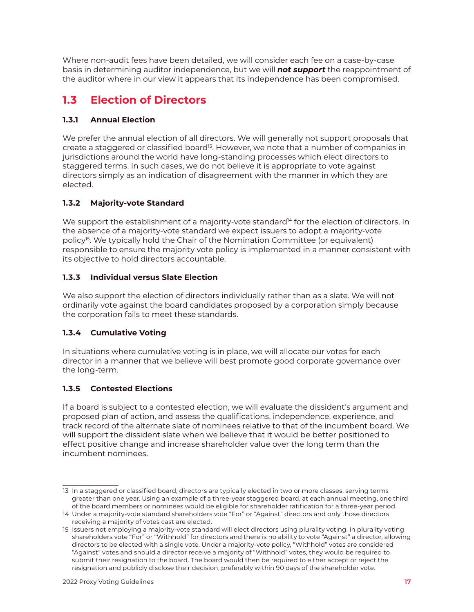<span id="page-16-0"></span>Where non-audit fees have been detailed, we will consider each fee on a case-by-case basis in determining auditor independence, but we will *not support* the reappointment of the auditor where in our view it appears that its independence has been compromised.

## **1.3 Election of Directors**

#### **1.3.1 Annual Election**

We prefer the annual election of all directors. We will generally not support proposals that create a staggered or classified board<sup>13</sup>. However, we note that a number of companies in jurisdictions around the world have long-standing processes which elect directors to staggered terms. In such cases, we do not believe it is appropriate to vote against directors simply as an indication of disagreement with the manner in which they are elected.

#### **1.3.2 Majority-vote Standard**

We support the establishment of a majority-vote standard<sup>14</sup> for the election of directors. In the absence of a majority-vote standard we expect issuers to adopt a majority-vote policy15. We typically hold the Chair of the Nomination Committee (or equivalent) responsible to ensure the majority vote policy is implemented in a manner consistent with its objective to hold directors accountable.

#### **1.3.3 Individual versus Slate Election**

We also support the election of directors individually rather than as a slate. We will not ordinarily vote against the board candidates proposed by a corporation simply because the corporation fails to meet these standards.

#### **1.3.4 Cumulative Voting**

In situations where cumulative voting is in place, we will allocate our votes for each director in a manner that we believe will best promote good corporate governance over the long-term.

#### **1.3.5 Contested Elections**

If a board is subject to a contested election, we will evaluate the dissident's argument and proposed plan of action, and assess the qualifications, independence, experience, and track record of the alternate slate of nominees relative to that of the incumbent board. We will support the dissident slate when we believe that it would be better positioned to effect positive change and increase shareholder value over the long term than the incumbent nominees.

<sup>13</sup> In a staggered or classified board, directors are typically elected in two or more classes, serving terms greater than one year. Using an example of a three-year staggered board, at each annual meeting, one third of the board members or nominees would be eligible for shareholder ratification for a three-year period.

<sup>14</sup> Under a majority-vote standard shareholders vote "For" or "Against" directors and only those directors receiving a majority of votes cast are elected.

<sup>15</sup> Issuers not employing a majority-vote standard will elect directors using plurality voting. In plurality voting shareholders vote "For" or "Withhold" for directors and there is no ability to vote "Against" a director, allowing directors to be elected with a single vote. Under a majority-vote policy, "Withhold" votes are considered "Against" votes and should a director receive a majority of "Withhold" votes, they would be required to submit their resignation to the board. The board would then be required to either accept or reject the resignation and publicly disclose their decision, preferably within 90 days of the shareholder vote.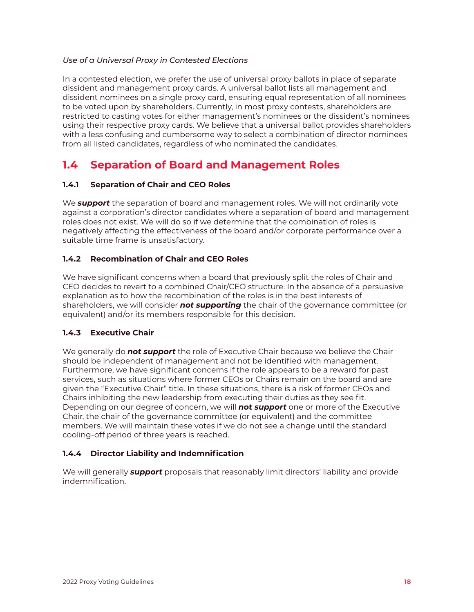#### <span id="page-17-0"></span>*Use of a Universal Proxy in Contested Elections*

In a contested election, we prefer the use of universal proxy ballots in place of separate dissident and management proxy cards. A universal ballot lists all management and dissident nominees on a single proxy card, ensuring equal representation of all nominees to be voted upon by shareholders. Currently, in most proxy contests, shareholders are restricted to casting votes for either management's nominees or the dissident's nominees using their respective proxy cards. We believe that a universal ballot provides shareholders with a less confusing and cumbersome way to select a combination of director nominees from all listed candidates, regardless of who nominated the candidates.

## **1.4 Separation of Board and Management Roles**

#### **1.4.1 Separation of Chair and CEO Roles**

We *support* the separation of board and management roles. We will not ordinarily vote against a corporation's director candidates where a separation of board and management roles does not exist. We will do so if we determine that the combination of roles is negatively affecting the effectiveness of the board and/or corporate performance over a suitable time frame is unsatisfactory.

#### **1.4.2 Recombination of Chair and CEO Roles**

We have significant concerns when a board that previously split the roles of Chair and CEO decides to revert to a combined Chair/CEO structure. In the absence of a persuasive explanation as to how the recombination of the roles is in the best interests of shareholders, we will consider *not supporting* the chair of the governance committee (or equivalent) and/or its members responsible for this decision.

#### **1.4.3 Executive Chair**

We generally do *not support* the role of Executive Chair because we believe the Chair should be independent of management and not be identified with management. Furthermore, we have significant concerns if the role appears to be a reward for past services, such as situations where former CEOs or Chairs remain on the board and are given the "Executive Chair" title. In these situations, there is a risk of former CEOs and Chairs inhibiting the new leadership from executing their duties as they see fit. Depending on our degree of concern, we will *not support* one or more of the Executive Chair, the chair of the governance committee (or equivalent) and the committee members. We will maintain these votes if we do not see a change until the standard cooling-off period of three years is reached.

#### **1.4.4 Director Liability and Indemnification**

We will generally *support* proposals that reasonably limit directors' liability and provide indemnification.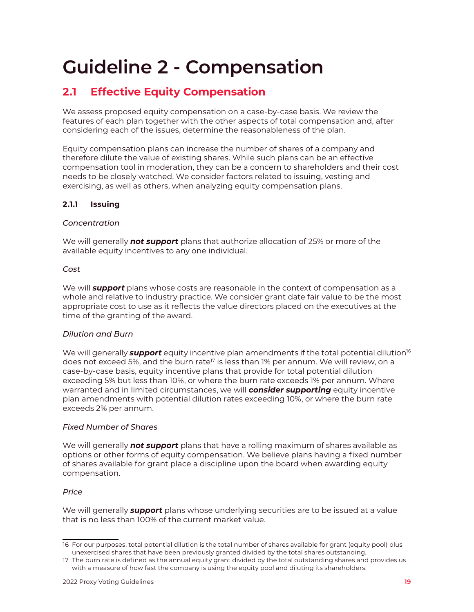## <span id="page-18-0"></span>**Guideline 2 - Compensation**

## **2.1 Effective Equity Compensation**

We assess proposed equity compensation on a case-by-case basis. We review the features of each plan together with the other aspects of total compensation and, after considering each of the issues, determine the reasonableness of the plan.

Equity compensation plans can increase the number of shares of a company and therefore dilute the value of existing shares. While such plans can be an effective compensation tool in moderation, they can be a concern to shareholders and their cost needs to be closely watched. We consider factors related to issuing, vesting and exercising, as well as others, when analyzing equity compensation plans.

#### **2.1.1 Issuing**

#### *Concentration*

We will generally *not support* plans that authorize allocation of 25% or more of the available equity incentives to any one individual.

#### *Cost*

We will *support* plans whose costs are reasonable in the context of compensation as a whole and relative to industry practice. We consider grant date fair value to be the most appropriate cost to use as it reflects the value directors placed on the executives at the time of the granting of the award.

#### *Dilution and Burn*

We will generally **support** equity incentive plan amendments if the total potential dilution<sup>16</sup> does not exceed 5%, and the burn rate<sup> $17$ </sup> is less than 1% per annum. We will review, on a case-by-case basis, equity incentive plans that provide for total potential dilution exceeding 5% but less than 10%, or where the burn rate exceeds 1% per annum. Where warranted and in limited circumstances, we will *consider supporting* equity incentive plan amendments with potential dilution rates exceeding 10%, or where the burn rate exceeds 2% per annum.

#### *Fixed Number of Shares*

We will generally *not support* plans that have a rolling maximum of shares available as options or other forms of equity compensation. We believe plans having a fixed number of shares available for grant place a discipline upon the board when awarding equity compensation.

#### *Price*

We will generally *support* plans whose underlying securities are to be issued at a value that is no less than 100% of the current market value.

<sup>16</sup> For our purposes, total potential dilution is the total number of shares available for grant (equity pool) plus unexercised shares that have been previously granted divided by the total shares outstanding.

<sup>17</sup> The burn rate is defined as the annual equity grant divided by the total outstanding shares and provides us with a measure of how fast the company is using the equity pool and diluting its shareholders.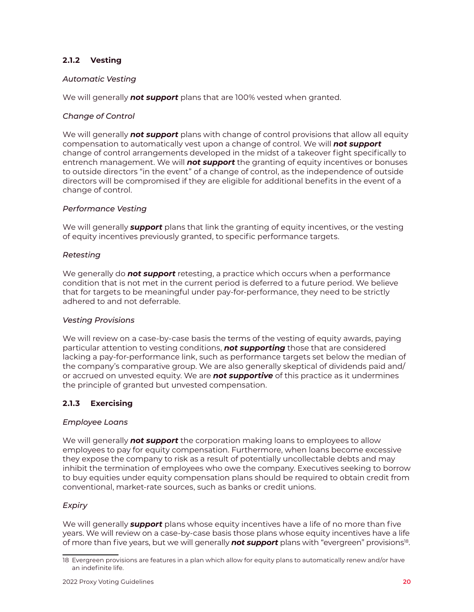#### <span id="page-19-0"></span>**2.1.2 Vesting**

#### *Automatic Vesting*

We will generally *not support* plans that are 100% vested when granted.

#### *Change of Control*

We will generally *not support* plans with change of control provisions that allow all equity compensation to automatically vest upon a change of control. We will *not support* change of control arrangements developed in the midst of a takeover fight specifically to entrench management. We will *not support* the granting of equity incentives or bonuses to outside directors "in the event" of a change of control, as the independence of outside directors will be compromised if they are eligible for additional benefits in the event of a change of control.

#### *Performance Vesting*

We will generally *support* plans that link the granting of equity incentives, or the vesting of equity incentives previously granted, to specific performance targets.

#### *Retesting*

We generally do *not support* retesting, a practice which occurs when a performance condition that is not met in the current period is deferred to a future period. We believe that for targets to be meaningful under pay-for-performance, they need to be strictly adhered to and not deferrable.

#### *Vesting Provisions*

We will review on a case-by-case basis the terms of the vesting of equity awards, paying particular attention to vesting conditions, *not supporting* those that are considered lacking a pay-for-performance link, such as performance targets set below the median of the company's comparative group. We are also generally skeptical of dividends paid and/ or accrued on unvested equity. We are *not supportive* of this practice as it undermines the principle of granted but unvested compensation.

#### **2.1.3 Exercising**

#### *Employee Loans*

We will generally *not support* the corporation making loans to employees to allow employees to pay for equity compensation. Furthermore, when loans become excessive they expose the company to risk as a result of potentially uncollectable debts and may inhibit the termination of employees who owe the company. Executives seeking to borrow to buy equities under equity compensation plans should be required to obtain credit from conventional, market-rate sources, such as banks or credit unions.

#### *Expiry*

We will generally *support* plans whose equity incentives have a life of no more than five years. We will review on a case-by-case basis those plans whose equity incentives have a life of more than five years, but we will generally *not support* plans with "evergreen" provisions18.

<sup>18</sup> Evergreen provisions are features in a plan which allow for equity plans to automatically renew and/or have an indefinite life.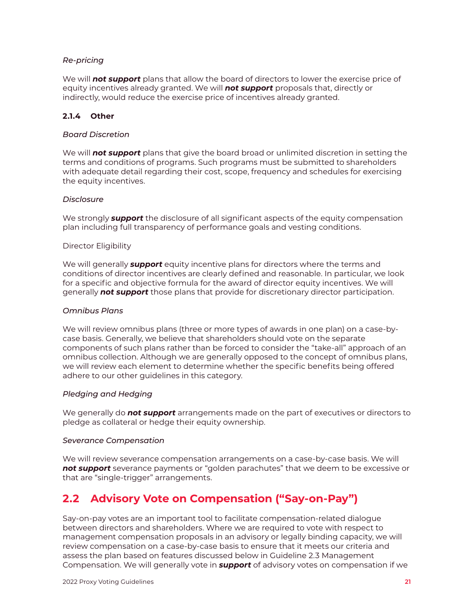#### <span id="page-20-0"></span>*Re-pricing*

We will *not support* plans that allow the board of directors to lower the exercise price of equity incentives already granted. We will *not support* proposals that, directly or indirectly, would reduce the exercise price of incentives already granted.

#### **2.1.4 Other**

#### *Board Discretion*

We will *not support* plans that give the board broad or unlimited discretion in setting the terms and conditions of programs. Such programs must be submitted to shareholders with adequate detail regarding their cost, scope, frequency and schedules for exercising the equity incentives.

#### *Disclosure*

We strongly *support* the disclosure of all significant aspects of the equity compensation plan including full transparency of performance goals and vesting conditions.

#### Director Eligibility

We will generally *support* equity incentive plans for directors where the terms and conditions of director incentives are clearly defined and reasonable. In particular, we look for a specific and objective formula for the award of director equity incentives. We will generally *not support* those plans that provide for discretionary director participation.

#### *Omnibus Plans*

We will review omnibus plans (three or more types of awards in one plan) on a case-bycase basis. Generally, we believe that shareholders should vote on the separate components of such plans rather than be forced to consider the "take-all" approach of an omnibus collection. Although we are generally opposed to the concept of omnibus plans, we will review each element to determine whether the specific benefits being offered adhere to our other guidelines in this category.

#### *Pledging and Hedging*

We generally do *not support* arrangements made on the part of executives or directors to pledge as collateral or hedge their equity ownership.

#### *Severance Compensation*

We will review severance compensation arrangements on a case-by-case basis. We will *not support* severance payments or "golden parachutes" that we deem to be excessive or that are "single-trigger" arrangements.

## **2.2 Advisory Vote on Compensation ("Say-on-Pay")**

Say-on-pay votes are an important tool to facilitate compensation-related dialogue between directors and shareholders. Where we are required to vote with respect to management compensation proposals in an advisory or legally binding capacity, we will review compensation on a case-by-case basis to ensure that it meets our criteria and assess the plan based on features discussed below in Guideline 2.3 Management Compensation. We will generally vote in *support* of advisory votes on compensation if we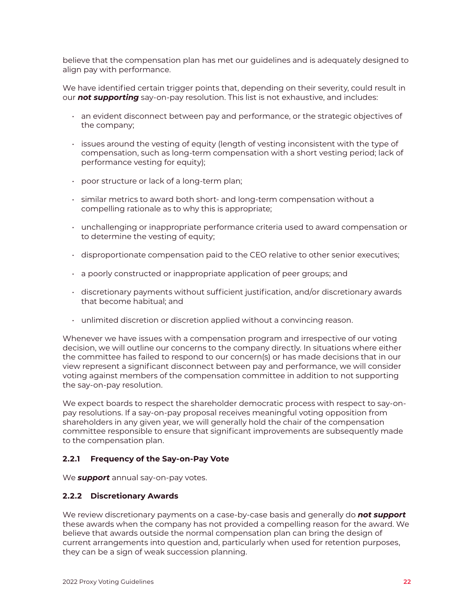<span id="page-21-0"></span>believe that the compensation plan has met our guidelines and is adequately designed to align pay with performance.

We have identified certain trigger points that, depending on their severity, could result in our *not supporting* say-on-pay resolution. This list is not exhaustive, and includes:

- an evident disconnect between pay and performance, or the strategic objectives of the company;
- issues around the vesting of equity (length of vesting inconsistent with the type of compensation, such as long-term compensation with a short vesting period; lack of performance vesting for equity);
- poor structure or lack of a long-term plan;
- similar metrics to award both short- and long-term compensation without a compelling rationale as to why this is appropriate;
- unchallenging or inappropriate performance criteria used to award compensation or to determine the vesting of equity;
- disproportionate compensation paid to the CEO relative to other senior executives;
- a poorly constructed or inappropriate application of peer groups; and
- discretionary payments without sufficient justification, and/or discretionary awards that become habitual; and
- unlimited discretion or discretion applied without a convincing reason.

Whenever we have issues with a compensation program and irrespective of our voting decision, we will outline our concerns to the company directly. In situations where either the committee has failed to respond to our concern(s) or has made decisions that in our view represent a significant disconnect between pay and performance, we will consider voting against members of the compensation committee in addition to not supporting the say-on-pay resolution.

We expect boards to respect the shareholder democratic process with respect to say-onpay resolutions. If a say-on-pay proposal receives meaningful voting opposition from shareholders in any given year, we will generally hold the chair of the compensation committee responsible to ensure that significant improvements are subsequently made to the compensation plan.

#### **2.2.1 Frequency of the Say-on-Pay Vote**

We *support* annual say-on-pay votes.

#### **2.2.2 Discretionary Awards**

We review discretionary payments on a case-by-case basis and generally do *not support* these awards when the company has not provided a compelling reason for the award. We believe that awards outside the normal compensation plan can bring the design of current arrangements into question and, particularly when used for retention purposes, they can be a sign of weak succession planning.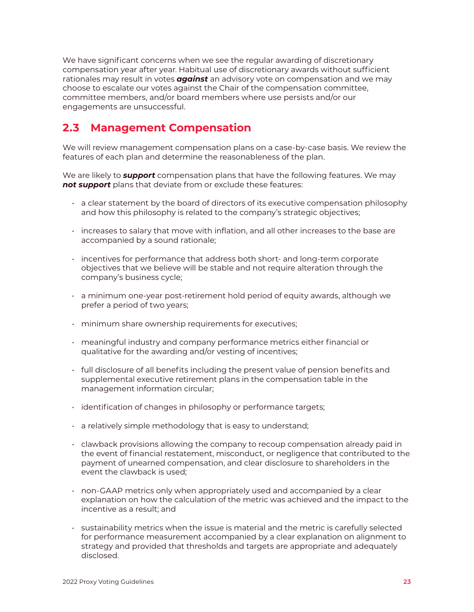<span id="page-22-0"></span>We have significant concerns when we see the regular awarding of discretionary compensation year after year. Habitual use of discretionary awards without sufficient rationales may result in votes *against* an advisory vote on compensation and we may choose to escalate our votes against the Chair of the compensation committee, committee members, and/or board members where use persists and/or our engagements are unsuccessful.

## **2.3 Management Compensation**

We will review management compensation plans on a case-by-case basis. We review the features of each plan and determine the reasonableness of the plan.

We are likely to *support* compensation plans that have the following features. We may *not support* plans that deviate from or exclude these features:

- a clear statement by the board of directors of its executive compensation philosophy and how this philosophy is related to the company's strategic objectives;
- increases to salary that move with inflation, and all other increases to the base are accompanied by a sound rationale;
- incentives for performance that address both short- and long-term corporate objectives that we believe will be stable and not require alteration through the company's business cycle;
- a minimum one-year post-retirement hold period of equity awards, although we prefer a period of two years;
- minimum share ownership requirements for executives;
- meaningful industry and company performance metrics either financial or qualitative for the awarding and/or vesting of incentives;
- full disclosure of all benefits including the present value of pension benefits and supplemental executive retirement plans in the compensation table in the management information circular;
- identification of changes in philosophy or performance targets;
- a relatively simple methodology that is easy to understand;
- clawback provisions allowing the company to recoup compensation already paid in the event of financial restatement, misconduct, or negligence that contributed to the payment of unearned compensation, and clear disclosure to shareholders in the event the clawback is used;
- non-GAAP metrics only when appropriately used and accompanied by a clear explanation on how the calculation of the metric was achieved and the impact to the incentive as a result; and
- sustainability metrics when the issue is material and the metric is carefully selected for performance measurement accompanied by a clear explanation on alignment to strategy and provided that thresholds and targets are appropriate and adequately disclosed.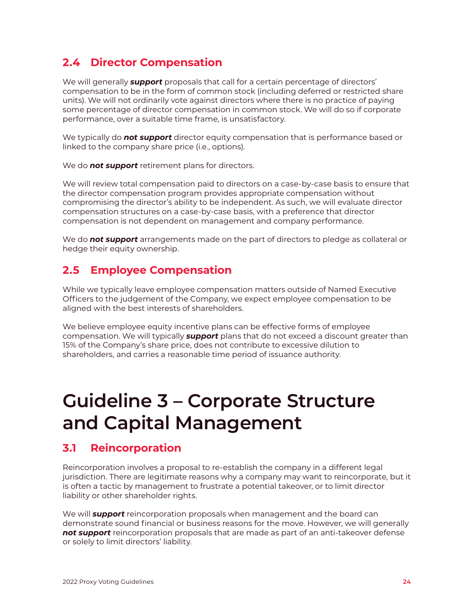## <span id="page-23-0"></span>**2.4 Director Compensation**

We will generally *support* proposals that call for a certain percentage of directors' compensation to be in the form of common stock (including deferred or restricted share units). We will not ordinarily vote against directors where there is no practice of paying some percentage of director compensation in common stock. We will do so if corporate performance, over a suitable time frame, is unsatisfactory.

We typically do *not support* director equity compensation that is performance based or linked to the company share price (i.e., options).

We do *not support* retirement plans for directors.

We will review total compensation paid to directors on a case-by-case basis to ensure that the director compensation program provides appropriate compensation without compromising the director's ability to be independent. As such, we will evaluate director compensation structures on a case-by-case basis, with a preference that director compensation is not dependent on management and company performance.

We do *not support* arrangements made on the part of directors to pledge as collateral or hedge their equity ownership.

### **2.5 Employee Compensation**

While we typically leave employee compensation matters outside of Named Executive Officers to the judgement of the Company, we expect employee compensation to be aligned with the best interests of shareholders.

We believe employee equity incentive plans can be effective forms of employee compensation. We will typically *support* plans that do not exceed a discount greater than 15% of the Company's share price, does not contribute to excessive dilution to shareholders, and carries a reasonable time period of issuance authority.

## **Guideline 3 – Corporate Structure and Capital Management**

## **3.1 Reincorporation**

Reincorporation involves a proposal to re-establish the company in a different legal jurisdiction. There are legitimate reasons why a company may want to reincorporate, but it is often a tactic by management to frustrate a potential takeover, or to limit director liability or other shareholder rights.

We will *support* reincorporation proposals when management and the board can demonstrate sound financial or business reasons for the move. However, we will generally *not support* reincorporation proposals that are made as part of an anti-takeover defense or solely to limit directors' liability.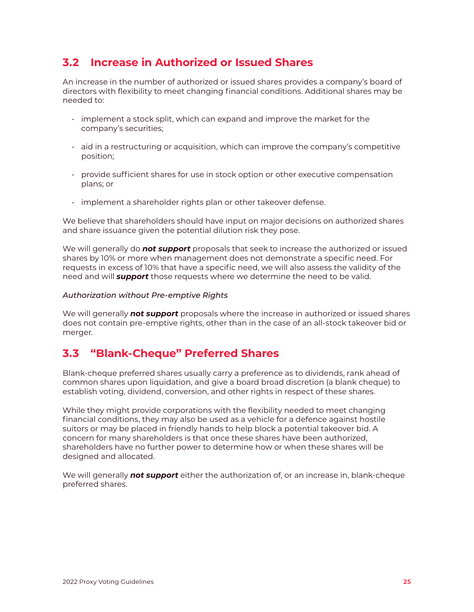### <span id="page-24-0"></span>**3.2 Increase in Authorized or Issued Shares**

An increase in the number of authorized or issued shares provides a company's board of directors with flexibility to meet changing financial conditions. Additional shares may be needed to:

- implement a stock split, which can expand and improve the market for the company's securities;
- $\cdot$  aid in a restructuring or acquisition, which can improve the company's competitive position;
- provide sufficient shares for use in stock option or other executive compensation plans; or
- implement a shareholder rights plan or other takeover defense.

We believe that shareholders should have input on major decisions on authorized shares and share issuance given the potential dilution risk they pose.

We will generally do *not support* proposals that seek to increase the authorized or issued shares by 10% or more when management does not demonstrate a specific need. For requests in excess of 10% that have a specific need, we will also assess the validity of the need and will *support* those requests where we determine the need to be valid.

#### *Authorization without Pre-emptive Rights*

We will generally *not support* proposals where the increase in authorized or issued shares does not contain pre-emptive rights, other than in the case of an all-stock takeover bid or merger.

### **3.3 "Blank-Cheque" Preferred Shares**

Blank-cheque preferred shares usually carry a preference as to dividends, rank ahead of common shares upon liquidation, and give a board broad discretion (a blank cheque) to establish voting, dividend, conversion, and other rights in respect of these shares.

While they might provide corporations with the flexibility needed to meet changing financial conditions, they may also be used as a vehicle for a defence against hostile suitors or may be placed in friendly hands to help block a potential takeover bid. A concern for many shareholders is that once these shares have been authorized, shareholders have no further power to determine how or when these shares will be designed and allocated.

We will generally *not support* either the authorization of, or an increase in, blank-cheque preferred shares.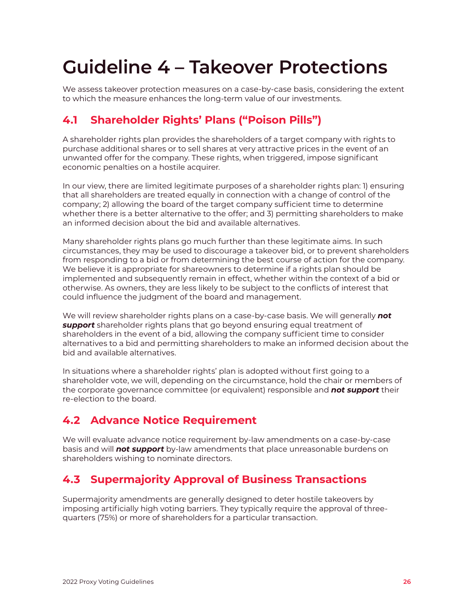## <span id="page-25-0"></span>**Guideline 4 – Takeover Protections**

We assess takeover protection measures on a case-by-case basis, considering the extent to which the measure enhances the long-term value of our investments.

## **4.1 Shareholder Rights' Plans ("Poison Pills")**

A shareholder rights plan provides the shareholders of a target company with rights to purchase additional shares or to sell shares at very attractive prices in the event of an unwanted offer for the company. These rights, when triggered, impose significant economic penalties on a hostile acquirer.

In our view, there are limited legitimate purposes of a shareholder rights plan: 1) ensuring that all shareholders are treated equally in connection with a change of control of the company; 2) allowing the board of the target company sufficient time to determine whether there is a better alternative to the offer; and 3) permitting shareholders to make an informed decision about the bid and available alternatives.

Many shareholder rights plans go much further than these legitimate aims. In such circumstances, they may be used to discourage a takeover bid, or to prevent shareholders from responding to a bid or from determining the best course of action for the company. We believe it is appropriate for shareowners to determine if a rights plan should be implemented and subsequently remain in effect, whether within the context of a bid or otherwise. As owners, they are less likely to be subject to the conflicts of interest that could influence the judgment of the board and management.

We will review shareholder rights plans on a case-by-case basis. We will generally *not support* shareholder rights plans that go beyond ensuring equal treatment of shareholders in the event of a bid, allowing the company sufficient time to consider alternatives to a bid and permitting shareholders to make an informed decision about the bid and available alternatives.

In situations where a shareholder rights' plan is adopted without first going to a shareholder vote, we will, depending on the circumstance, hold the chair or members of the corporate governance committee (or equivalent) responsible and *not support* their re-election to the board.

## **4.2 Advance Notice Requirement**

We will evaluate advance notice requirement by-law amendments on a case-by-case basis and will *not support* by-law amendments that place unreasonable burdens on shareholders wishing to nominate directors.

## **4.3 Supermajority Approval of Business Transactions**

Supermajority amendments are generally designed to deter hostile takeovers by imposing artificially high voting barriers. They typically require the approval of threequarters (75%) or more of shareholders for a particular transaction.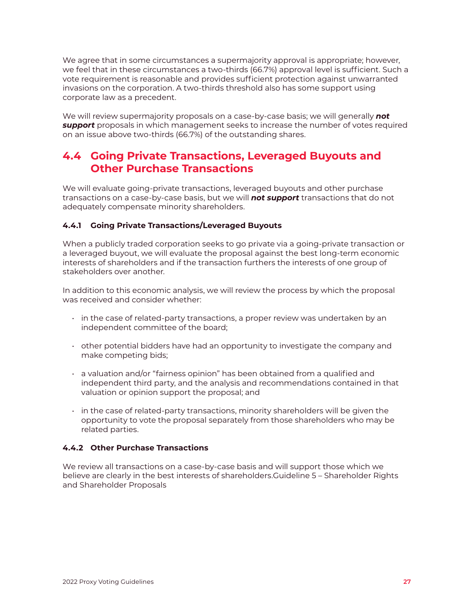<span id="page-26-0"></span>We agree that in some circumstances a supermajority approval is appropriate; however, we feel that in these circumstances a two-thirds (66.7%) approval level is sufficient. Such a vote requirement is reasonable and provides sufficient protection against unwarranted invasions on the corporation. A two-thirds threshold also has some support using corporate law as a precedent.

We will review supermajority proposals on a case-by-case basis; we will generally *not support* proposals in which management seeks to increase the number of votes required on an issue above two-thirds (66.7%) of the outstanding shares.

## **4.4 Going Private Transactions, Leveraged Buyouts and Other Purchase Transactions**

We will evaluate going-private transactions, leveraged buyouts and other purchase transactions on a case-by-case basis, but we will *not support* transactions that do not adequately compensate minority shareholders.

#### **4.4.1 Going Private Transactions/Leveraged Buyouts**

When a publicly traded corporation seeks to go private via a going-private transaction or a leveraged buyout, we will evaluate the proposal against the best long-term economic interests of shareholders and if the transaction furthers the interests of one group of stakeholders over another.

In addition to this economic analysis, we will review the process by which the proposal was received and consider whether:

- in the case of related-party transactions, a proper review was undertaken by an independent committee of the board;
- $\cdot$  other potential bidders have had an opportunity to investigate the company and make competing bids;
- a valuation and/or "fairness opinion" has been obtained from a qualified and independent third party, and the analysis and recommendations contained in that valuation or opinion support the proposal; and
- $\cdot$  in the case of related-party transactions, minority shareholders will be given the opportunity to vote the proposal separately from those shareholders who may be related parties.

#### **4.4.2 Other Purchase Transactions**

We review all transactions on a case-by-case basis and will support those which we believe are clearly in the best interests of shareholders.Guideline 5 – Shareholder Rights and Shareholder Proposals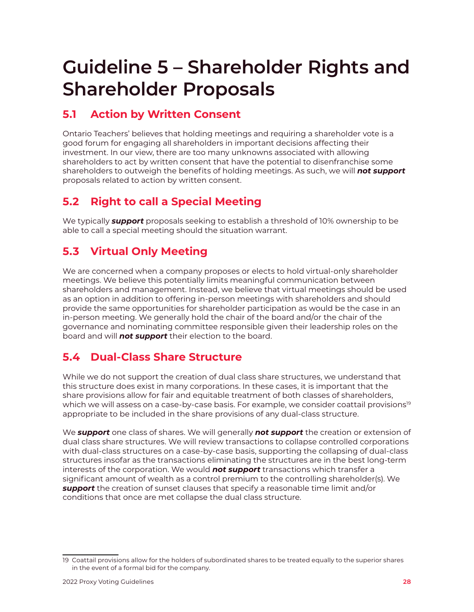## <span id="page-27-0"></span>**Guideline 5 – Shareholder Rights and Shareholder Proposals**

## **5.1 Action by Written Consent**

Ontario Teachers' believes that holding meetings and requiring a shareholder vote is a good forum for engaging all shareholders in important decisions affecting their investment. In our view, there are too many unknowns associated with allowing shareholders to act by written consent that have the potential to disenfranchise some shareholders to outweigh the benefits of holding meetings. As such, we will *not support*  proposals related to action by written consent.

## **5.2 Right to call a Special Meeting**

We typically *support* proposals seeking to establish a threshold of 10% ownership to be able to call a special meeting should the situation warrant.

## **5.3 Virtual Only Meeting**

We are concerned when a company proposes or elects to hold virtual-only shareholder meetings. We believe this potentially limits meaningful communication between shareholders and management. Instead, we believe that virtual meetings should be used as an option in addition to offering in-person meetings with shareholders and should provide the same opportunities for shareholder participation as would be the case in an in-person meeting. We generally hold the chair of the board and/or the chair of the governance and nominating committee responsible given their leadership roles on the board and will *not support* their election to the board.

## **5.4 Dual-Class Share Structure**

While we do not support the creation of dual class share structures, we understand that this structure does exist in many corporations. In these cases, it is important that the share provisions allow for fair and equitable treatment of both classes of shareholders, which we will assess on a case-by-case basis. For example, we consider coattail provisions<sup>19</sup> appropriate to be included in the share provisions of any dual-class structure.

We *support* one class of shares. We will generally *not support* the creation or extension of dual class share structures. We will review transactions to collapse controlled corporations with dual-class structures on a case-by-case basis, supporting the collapsing of dual-class structures insofar as the transactions eliminating the structures are in the best long-term interests of the corporation. We would *not support* transactions which transfer a significant amount of wealth as a control premium to the controlling shareholder(s). We *support* the creation of sunset clauses that specify a reasonable time limit and/or conditions that once are met collapse the dual class structure.

<sup>19</sup> Coattail provisions allow for the holders of subordinated shares to be treated equally to the superior shares in the event of a formal bid for the company.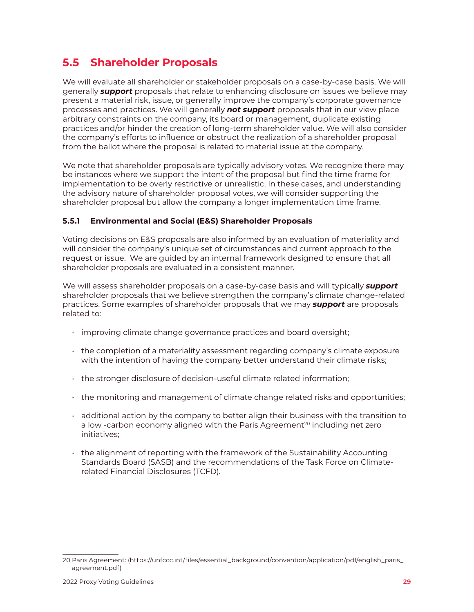## <span id="page-28-0"></span>**5.5 Shareholder Proposals**

We will evaluate all shareholder or stakeholder proposals on a case-by-case basis. We will generally *support* proposals that relate to enhancing disclosure on issues we believe may present a material risk, issue, or generally improve the company's corporate governance processes and practices. We will generally *not support* proposals that in our view place arbitrary constraints on the company, its board or management, duplicate existing practices and/or hinder the creation of long-term shareholder value. We will also consider the company's efforts to influence or obstruct the realization of a shareholder proposal from the ballot where the proposal is related to material issue at the company.

We note that shareholder proposals are typically advisory votes. We recognize there may be instances where we support the intent of the proposal but find the time frame for implementation to be overly restrictive or unrealistic. In these cases, and understanding the advisory nature of shareholder proposal votes, we will consider supporting the shareholder proposal but allow the company a longer implementation time frame.

#### **5.5.1 Environmental and Social (E&S) Shareholder Proposals**

Voting decisions on E&S proposals are also informed by an evaluation of materiality and will consider the company's unique set of circumstances and current approach to the request or issue. We are guided by an internal framework designed to ensure that all shareholder proposals are evaluated in a consistent manner.

We will assess shareholder proposals on a case-by-case basis and will typically *support* shareholder proposals that we believe strengthen the company's climate change-related practices. Some examples of shareholder proposals that we may *support* are proposals related to:

- improving climate change governance practices and board oversight;
- the completion of a materiality assessment regarding company's climate exposure with the intention of having the company better understand their climate risks;
- the stronger disclosure of decision-useful climate related information;
- the monitoring and management of climate change related risks and opportunities;
- $\cdot$  additional action by the company to better align their business with the transition to a low -carbon economy aligned with the Paris Agreement<sup>20</sup> including net zero initiatives;
- the alignment of reporting with the framework of the Sustainability Accounting Standards Board (SASB) and the recommendations of the Task Force on Climaterelated Financial Disclosures (TCFD).

<sup>20</sup> Paris Agreement: (https://unfccc.int/files/essential\_background/convention/application/pdf/english\_paris\_ agreement.pdf)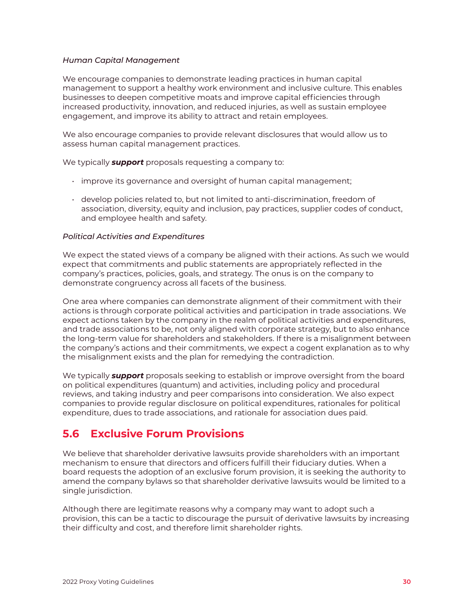#### <span id="page-29-0"></span>*Human Capital Management*

We encourage companies to demonstrate leading practices in human capital management to support a healthy work environment and inclusive culture. This enables businesses to deepen competitive moats and improve capital efficiencies through increased productivity, innovation, and reduced injuries, as well as sustain employee engagement, and improve its ability to attract and retain employees.

We also encourage companies to provide relevant disclosures that would allow us to assess human capital management practices.

We typically *support* proposals requesting a company to:

- improve its governance and oversight of human capital management;
- develop policies related to, but not limited to anti-discrimination, freedom of association, diversity, equity and inclusion, pay practices, supplier codes of conduct, and employee health and safety.

#### *Political Activities and Expenditures*

We expect the stated views of a company be aligned with their actions. As such we would expect that commitments and public statements are appropriately reflected in the company's practices, policies, goals, and strategy. The onus is on the company to demonstrate congruency across all facets of the business.

One area where companies can demonstrate alignment of their commitment with their actions is through corporate political activities and participation in trade associations. We expect actions taken by the company in the realm of political activities and expenditures, and trade associations to be, not only aligned with corporate strategy, but to also enhance the long-term value for shareholders and stakeholders. If there is a misalignment between the company's actions and their commitments, we expect a cogent explanation as to why the misalignment exists and the plan for remedying the contradiction.

We typically *support* proposals seeking to establish or improve oversight from the board on political expenditures (quantum) and activities, including policy and procedural reviews, and taking industry and peer comparisons into consideration. We also expect companies to provide regular disclosure on political expenditures, rationales for political expenditure, dues to trade associations, and rationale for association dues paid.

## **5.6 Exclusive Forum Provisions**

We believe that shareholder derivative lawsuits provide shareholders with an important mechanism to ensure that directors and officers fulfill their fiduciary duties. When a board requests the adoption of an exclusive forum provision, it is seeking the authority to amend the company bylaws so that shareholder derivative lawsuits would be limited to a single jurisdiction.

Although there are legitimate reasons why a company may want to adopt such a provision, this can be a tactic to discourage the pursuit of derivative lawsuits by increasing their difficulty and cost, and therefore limit shareholder rights.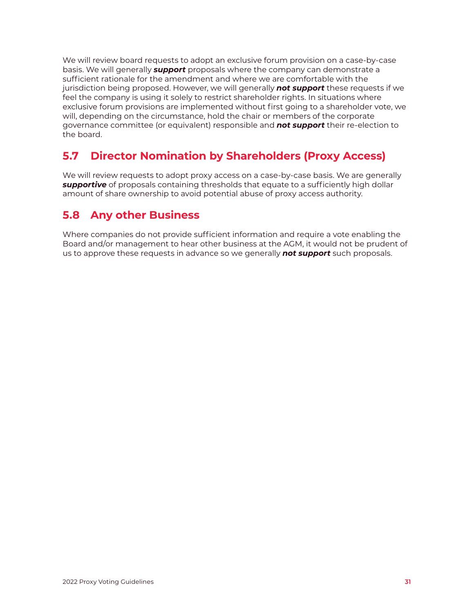<span id="page-30-0"></span>We will review board requests to adopt an exclusive forum provision on a case-by-case basis. We will generally *support* proposals where the company can demonstrate a sufficient rationale for the amendment and where we are comfortable with the jurisdiction being proposed. However, we will generally *not support* these requests if we feel the company is using it solely to restrict shareholder rights. In situations where exclusive forum provisions are implemented without first going to a shareholder vote, we will, depending on the circumstance, hold the chair or members of the corporate governance committee (or equivalent) responsible and *not support* their re-election to the board.

## **5.7 Director Nomination by Shareholders (Proxy Access)**

We will review requests to adopt proxy access on a case-by-case basis. We are generally *supportive* of proposals containing thresholds that equate to a sufficiently high dollar amount of share ownership to avoid potential abuse of proxy access authority.

## **5.8 Any other Business**

Where companies do not provide sufficient information and require a vote enabling the Board and/or management to hear other business at the AGM, it would not be prudent of us to approve these requests in advance so we generally *not support* such proposals.